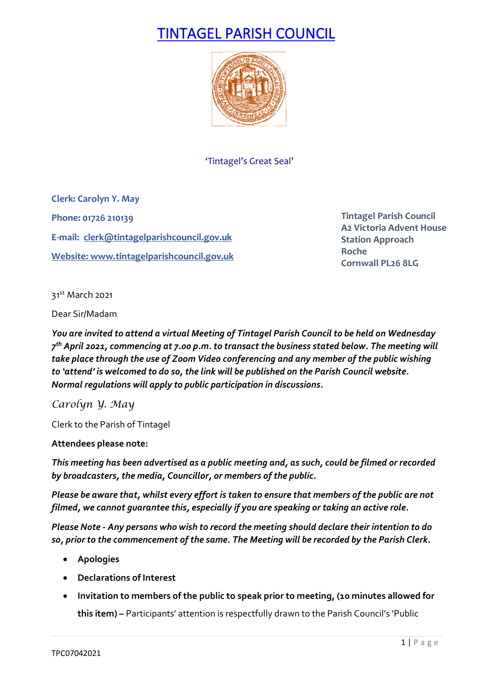# TINTAGEL PARISH COUNCIL



'Tintagel's Great Seal'

**Clerk: Carolyn Y. May Phone: 01726 210139 E-mail: [clerk@tintagelparishcouncil.gov.uk](mailto:clerk@tintagelparishcouncil.gov.uk) Website[: www.tintagelparishcouncil.gov.uk](http://www.tintagelparishcouncil.gov.uk/)**

**Tintagel Parish Council A2 Victoria Advent House Station Approach Roche Cornwall PL26 8LG**

31st March 2021

Dear Sir/Madam

*You are invited to attend a virtual Meeting of Tintagel Parish Council to be held on Wednesday 7th April 2021, commencing at 7.00 p.m. to transact the business stated below. The meeting will take place through the use of Zoom Video conferencing and any member of the public wishing to 'attend' is welcomed to do so, the link will be published on the Parish Council website. Normal regulations will apply to public participation in discussions.*

*Carolyn Y. May*

Clerk to the Parish of Tintagel

# **Attendees please note:**

*This meeting has been advertised as a public meeting and, as such, could be filmed or recorded by broadcasters, the media, Councillor, or members of the public.*

*Please be aware that, whilst every effort is taken to ensure that members of the public are not filmed, we cannot guarantee this, especially if you are speaking or taking an active role.*

*Please Note - Any persons who wish to record the meeting should declare their intention to do so, prior to the commencement of the same. The Meeting will be recorded by the Parish Clerk.*

- **Apologies**
- **Declarations of Interest**
- **Invitation to members of the public to speak prior to meeting, (10 minutes allowed for this item) –** Participants' attention is respectfully drawn to the Parish Council's 'Public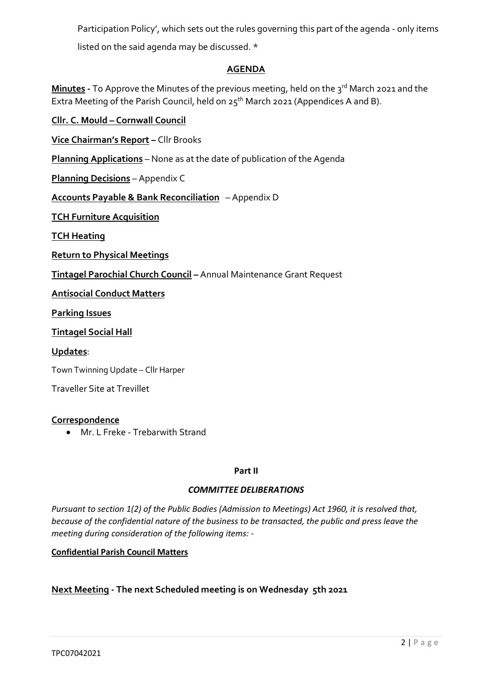Participation Policy', which sets out the rules governing this part of the agenda - only items listed on the said agenda may be discussed. \*

# **AGENDA**

**Minutes** - To Approve the Minutes of the previous meeting, held on the 3<sup>rd</sup> March 2021 and the Extra Meeting of the Parish Council, held on  $25<sup>th</sup>$  March 2021 (Appendices A and B).

**Cllr. C. Mould – Cornwall Council**

**Vice Chairman's Report –** Cllr Brooks

**Planning Applications** – None as at the date of publication of the Agenda

**Planning Decisions** – Appendix C

**Accounts Payable & Bank Reconciliation** – Appendix D

**TCH Furniture Acquisition**

**TCH Heating**

**Return to Physical Meetings**

**Tintagel Parochial Church Council –** Annual Maintenance Grant Request

**Antisocial Conduct Matters**

**Parking Issues**

**Tintagel Social Hall**

#### **Updates**:

Town Twinning Update – Cllr Harper

Traveller Site at Trevillet

# **Correspondence**

• Mr. L Freke - Trebarwith Strand

#### **Part II**

#### *COMMITTEE DELIBERATIONS*

*Pursuant to section 1(2) of the Public Bodies (Admission to Meetings) Act 1960, it is resolved that, because of the confidential nature of the business to be transacted, the public and press leave the meeting during consideration of the following items: -*

#### **Confidential Parish Council Matters**

# **Next Meeting - The next Scheduled meeting is on Wednesday 5th 2021**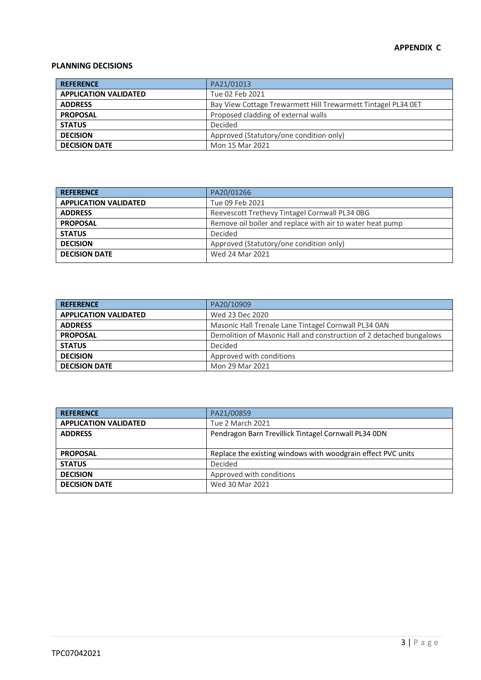#### **APPENDIX C**

#### **PLANNING DECISIONS**

| <b>REFERENCE</b>             | PA21/01013                                                    |
|------------------------------|---------------------------------------------------------------|
| <b>APPLICATION VALIDATED</b> | Tue 02 Feb 2021                                               |
| <b>ADDRESS</b>               | Bay View Cottage Trewarmett Hill Trewarmett Tintagel PL34 OET |
| <b>PROPOSAL</b>              | Proposed cladding of external walls                           |
| <b>STATUS</b>                | Decided                                                       |
| <b>DECISION</b>              | Approved (Statutory/one condition only)                       |
| <b>DECISION DATE</b>         | Mon 15 Mar 2021                                               |

| PA20/01266                                                |
|-----------------------------------------------------------|
| Tue 09 Feb 2021                                           |
| Reevescott Trethevy Tintagel Cornwall PL34 0BG            |
| Remove oil boiler and replace with air to water heat pump |
|                                                           |
| Approved (Statutory/one condition only)                   |
| Wed 24 Mar 2021                                           |
| Decided                                                   |

| <b>REFERENCE</b>             | PA20/10909                                                          |
|------------------------------|---------------------------------------------------------------------|
| <b>APPLICATION VALIDATED</b> | Wed 23 Dec 2020                                                     |
| <b>ADDRESS</b>               | Masonic Hall Trenale Lane Tintagel Cornwall PL34 0AN                |
| <b>PROPOSAL</b>              | Demolition of Masonic Hall and construction of 2 detached bungalows |
| <b>STATUS</b>                | Decided                                                             |
| <b>DECISION</b>              | Approved with conditions                                            |
| <b>DECISION DATE</b>         | Mon 29 Mar 2021                                                     |

| PA21/00859                                                   |
|--------------------------------------------------------------|
| Tue 2 March 2021                                             |
| Pendragon Barn Trevillick Tintagel Cornwall PL34 0DN         |
|                                                              |
| Replace the existing windows with woodgrain effect PVC units |
| Decided                                                      |
| Approved with conditions                                     |
| Wed 30 Mar 2021                                              |
|                                                              |